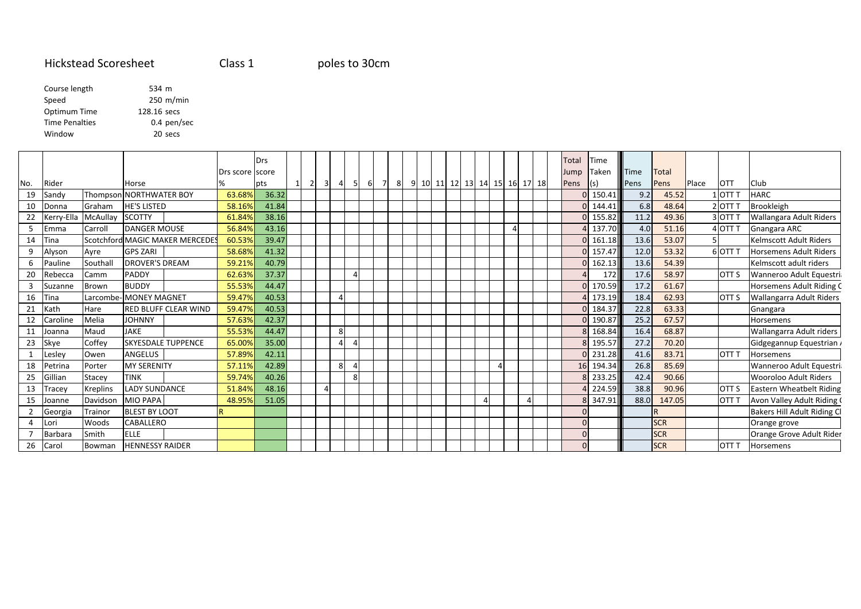# Hickstead Scoresheet

Class 1

## poles to 30cm

Course length <sup>534</sup> <sup>m</sup> <sup>250</sup> m/min SpeedOptimum Time 128.16 secs Time Penalties 0.4 pen/sec Window<sup>20</sup> secs

|     |            |                 |                                 |                 | Drs   |          |                     |                |          |     |                    |  |                              |   |  |  | <b>Total</b> | Time   |      |            |       |                  |                                 |
|-----|------------|-----------------|---------------------------------|-----------------|-------|----------|---------------------|----------------|----------|-----|--------------------|--|------------------------------|---|--|--|--------------|--------|------|------------|-------|------------------|---------------------------------|
|     |            |                 |                                 | Drs score score |       |          |                     |                |          |     |                    |  |                              |   |  |  | Jump         | Taken  | Time | Total      |       |                  |                                 |
| No. | Rider      |                 | Horse                           |                 | pts   | $1\vert$ | $\overline{2}$<br>3 | $\overline{a}$ | -5       | -61 | $7^{\circ}$<br>- 8 |  | 9 10 11 12 13 14 15 16 17 18 |   |  |  | Pens         |        | Pens | Pens       | Place | <b>OTT</b>       | <b>Club</b>                     |
| 19  | Sandy      |                 | Thompson NORTHWATER BOY         | 63.68%          | 36.32 |          |                     |                |          |     |                    |  |                              |   |  |  |              | 150.41 | 9.2  | 45.52      |       | 1 IOTT T         | <b>HARC</b>                     |
| 10  | Donna      | Graham          | <b>HE'S LISTED</b>              | 58.16%          | 41.84 |          |                     |                |          |     |                    |  |                              |   |  |  |              | 144.41 | 6.8  | 48.64      |       | 2 OTT T          | Brookleigh                      |
| 22  | Kerry-Ella | McAullay        | <b>SCOTTY</b>                   | 61.84%          | 38.16 |          |                     |                |          |     |                    |  |                              |   |  |  |              | 155.82 | 11.2 | 49.36      |       | 3OTT T           | Wallangara Adult Riders         |
| 5   | Emma       | Carroll         | <b>DANGER MOUSE</b>             | 56.84%          | 43.16 |          |                     |                |          |     |                    |  |                              |   |  |  |              | 137.70 | 4.0  | 51.16      |       | 4 OTT T          | Gnangara ARC                    |
| 14  | Tina       |                 | Scotchford MAGIC MAKER MERCEDES | 60.53%          | 39.47 |          |                     |                |          |     |                    |  |                              |   |  |  |              | 161.18 | 13.6 | 53.07      |       |                  | Kelmscott Adult Riders          |
|     | Alyson     | Ayre            | <b>GPS ZARI</b>                 | 58.68%          | 41.32 |          |                     |                |          |     |                    |  |                              |   |  |  |              | 157.47 | 12.0 | 53.32      |       | 6 OTT T          | <b>Horsemens Adult Riders</b>   |
|     | Pauline    | Southal         | <b>DROVER'S DREAM</b>           | 59.21%          | 40.79 |          |                     |                |          |     |                    |  |                              |   |  |  |              | 162.13 | 13.6 | 54.39      |       |                  | Kelmscott adult riders          |
| 20  | Rebecca    | Camm            | <b>PADDY</b>                    | 62.63%          | 37.37 |          |                     |                | Δ        |     |                    |  |                              |   |  |  |              | 172    | 17.6 | 58.97      |       | OTT S            | Wanneroo Adult Equestri         |
|     | Suzanne    | Brown           | <b>BUDDY</b>                    | 55.53%          | 44.47 |          |                     |                |          |     |                    |  |                              |   |  |  |              | 170.59 | 17.2 | 61.67      |       |                  | Horsemens Adult Riding C        |
| 16  | Tina       |                 | Larcombe-IMONEY MAGNET          | 59.47%          | 40.53 |          |                     |                |          |     |                    |  |                              |   |  |  |              | 173.19 | 18.4 | 62.93      |       | OTT <sub>S</sub> | <b>Wallangarra Adult Riders</b> |
| 21  | Kath       | Hare            | <b>RED BLUFF CLEAR WIND</b>     | 59.47%          | 40.53 |          |                     |                |          |     |                    |  |                              |   |  |  |              | 184.37 | 22.8 | 63.33      |       |                  | Gnangara                        |
| 12  | Caroline   | Melia           | <b>JOHNNY</b>                   | 57.63%          | 42.37 |          |                     |                |          |     |                    |  |                              |   |  |  |              | 190.87 | 25.2 | 67.57      |       |                  | Horsemens                       |
| 11  | Joanna     | Maud            | <b>JAKE</b>                     | 55.53%          | 44.47 |          |                     | 8              |          |     |                    |  |                              |   |  |  |              | 168.84 | 16.4 | 68.87      |       |                  | Wallangarra Adult riders        |
| 23  | Skye       | Coffey          | <b>SKYESDALE TUPPENCE</b>       | 65.00%          | 35.00 |          |                     |                |          |     |                    |  |                              |   |  |  |              | 195.57 | 27.2 | 70.20      |       |                  | Gidgegannup Equestrian /        |
|     | Lesley     | Owen            | ANGELUS                         | 57.89%          | 42.11 |          |                     |                |          |     |                    |  |                              |   |  |  |              | 231.28 | 41.6 | 83.71      |       | <b>OTT T</b>     | <b>Horsemens</b>                |
| 18  | Petrina    | Porter          | <b>MY SERENITY</b>              | 57.11%          | 42.89 |          |                     | 8 <sup>1</sup> | $\Delta$ |     |                    |  |                              |   |  |  | 16           | 194.34 | 26.8 | 85.69      |       |                  | Wanneroo Adult Equestri         |
| 25  | Gillian    | Stacey          | <b>TINK</b>                     | 59.74%          | 40.26 |          |                     |                | 8        |     |                    |  |                              |   |  |  |              | 233.25 | 42.4 | 90.66      |       |                  | Wooroloo Adult Riders           |
| 13  | Tracey     | <b>Kreplins</b> | <b>LADY SUNDANCE</b>            | 51.84%          | 48.16 |          |                     |                |          |     |                    |  |                              |   |  |  |              | 224.59 | 38.8 | 90.96      |       | OTT <sub>S</sub> | Eastern Wheatbelt Riding        |
| 15  | Joanne     | Davidson        | MIO PAPA                        | 48.95%          | 51.05 |          |                     |                |          |     |                    |  |                              | 4 |  |  |              | 347.91 | 88.0 | 147.05     |       | OTT <sub>T</sub> | Avon Valley Adult Riding (      |
|     | Georgia    | Trainor         | <b>BLEST BY LOOT</b>            |                 |       |          |                     |                |          |     |                    |  |                              |   |  |  |              |        |      |            |       |                  | Bakers Hill Adult Riding Cl     |
|     | Lori       | Woods           | CABALLERO                       |                 |       |          |                     |                |          |     |                    |  |                              |   |  |  |              |        |      | <b>SCR</b> |       |                  | Orange grove                    |
|     | Barbara    | Smith           | <b>ELLE</b>                     |                 |       |          |                     |                |          |     |                    |  |                              |   |  |  |              |        |      | <b>SCR</b> |       |                  | Orange Grove Adult Rider        |
| 26  | Carol      | Bowman          | <b>HENNESSY RAIDER</b>          |                 |       |          |                     |                |          |     |                    |  |                              |   |  |  |              |        |      | <b>SCR</b> |       | OTT T            | Horsemens                       |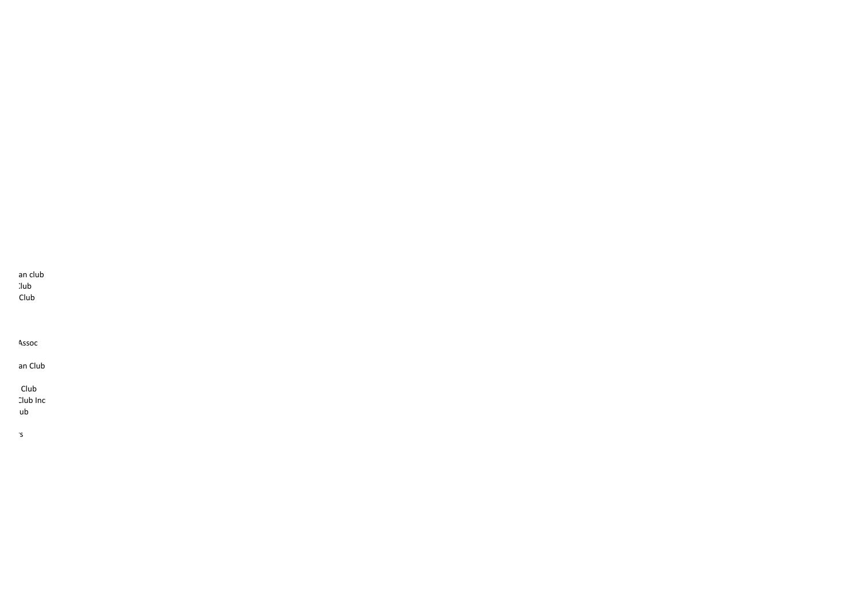an club

 $\lambda$ lub

Club

Assoc

an Club

Club

Club Inc

 $ub$ 

Orange Grove Adult Riders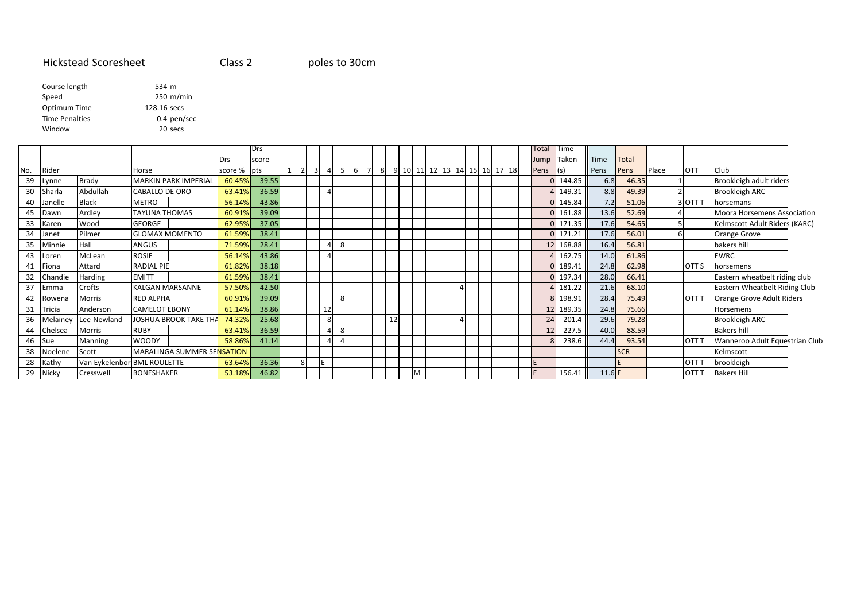### Hickstead Scoresheet

Class 2

poles to 30cm

| Course length         | 534 m       |
|-----------------------|-------------|
| Speed                 | 250 m/min   |
| Optimum Time          | 128.16 secs |
| <b>Time Penalties</b> | 0.4 pen/sec |
| Window                | 20 secs     |
|                       |             |

|     |            |              |                                   |         | Drs   |                |                         |                     |            |  |    |                              |  |  |  | Total | <b>Time</b>     |        |             |              |       |              |                                    |  |
|-----|------------|--------------|-----------------------------------|---------|-------|----------------|-------------------------|---------------------|------------|--|----|------------------------------|--|--|--|-------|-----------------|--------|-------------|--------------|-------|--------------|------------------------------------|--|
|     |            |              |                                   | Drs     | score |                |                         |                     |            |  |    |                              |  |  |  | Jump  | Taken           |        | dllTime     | <b>Total</b> |       |              |                                    |  |
| No. | Rider      |              | Horse                             | score % | pts   | $\overline{2}$ | $\overline{\mathbf{3}}$ | $\overline{4}$      | - 5<br>-61 |  |    | 9 10 11 12 13 14 15 16 17 18 |  |  |  | Pens  | $\mathsf{I}(s)$ |        | <b>Pens</b> | Pens         | Place | <b>OTT</b>   | <b>Club</b>                        |  |
| 39  | Lynne      | Brady        | <b>MARKIN PARK IMPERIAL</b>       | 60.45%  | 39.55 |                |                         |                     |            |  |    |                              |  |  |  |       | $0$ 144.85      |        | 6.8         | 46.35        |       |              | Brookleigh adult riders            |  |
| 30  | Sharla     | Abdullah     | CABALLO DE ORO                    | 63.41%  | 36.59 |                |                         | 4                   |            |  |    |                              |  |  |  |       | 4 149.31        |        | 8.8         | 49.39        |       |              | <b>Brookleigh ARC</b>              |  |
| 40  | Janelle    | <b>Black</b> | <b>METRO</b>                      | 56.14%  | 43.86 |                |                         |                     |            |  |    |                              |  |  |  |       | 0 145.84        |        | 7.2         | 51.06        |       | 3 OTT T      | horsemans                          |  |
| 45  | Dawn       | Ardley       | <b>TAYUNA THOMAS</b>              | 60.91%  | 39.09 |                |                         |                     |            |  |    |                              |  |  |  |       | $0$ 161.88      |        | 13.6        | 52.69        |       |              | <b>Moora Horsemens Association</b> |  |
| 33  | Karen      | Wood         | GEORGE                            | 62.95%  | 37.05 |                |                         |                     |            |  |    |                              |  |  |  |       | $0$ 171.35      |        | 17.6        | 54.65        |       |              | Kelmscott Adult Riders (KARC)      |  |
| 34  | Janet      | Pilmer       | <b>GLOMAX MOMENTO</b>             | 61.59%  | 38.41 |                |                         |                     |            |  |    |                              |  |  |  |       | $0$ 171.21      |        | 17.6        | 56.01        |       |              | Orange Grove                       |  |
| 35  | Minnie     | Hall         | ANGUS                             | 71.59%  | 28.41 |                |                         | $\overline{4}$      | 8          |  |    |                              |  |  |  |       | 12 168.88       |        | 16.4        | 56.81        |       |              | bakers hill                        |  |
| 43  | Loren      | McLean       | <b>ROSIE</b>                      | 56.14%  | 43.86 |                |                         | 4                   |            |  |    |                              |  |  |  |       | 4 162.75        |        | 14.0        | 61.86        |       |              | <b>EWRC</b>                        |  |
| 41  | Fiona      | Attard       | <b>RADIAL PIE</b>                 | 61.82%  | 38.18 |                |                         |                     |            |  |    |                              |  |  |  |       | $0$ 189.41      |        | 24.8        | 62.98        |       | <b>OTT S</b> | horsemens                          |  |
| 32  | Chandie    | Harding      | <b>EMITT</b>                      | 61.59%  | 38.41 |                |                         |                     |            |  |    |                              |  |  |  |       | $0$ 197.34      |        | 28.0        | 66.41        |       |              | Eastern wheatbelt riding club      |  |
| 37  | Emma       | Crofts       | KALGAN MARSANNE                   | 57.50%  | 42.50 |                |                         |                     |            |  |    |                              |  |  |  |       | 4 181.22        |        | 21.6        | 68.10        |       |              | Eastern Wheatbelt Riding Club      |  |
| 42  | Rowena     | Morris       | <b>RED ALPHA</b>                  | 60.91%  | 39.09 |                |                         |                     | 8          |  |    |                              |  |  |  |       | 8 198.91        |        | 28.4        | 75.49        |       | <b>OTT T</b> | Orange Grove Adult Riders          |  |
| 31  | Tricia     | Anderson     | <b>CAMELOT EBONY</b>              | 61.14%  | 38.86 |                |                         | 12                  |            |  |    |                              |  |  |  |       | 12              | 189.35 | 24.8        | 75.66        |       |              | Horsemens                          |  |
| 36  | Melainey   | Lee-Newland  | <b>JOSHUA BROOK TAKE THA</b>      | 74.32%  | 25.68 |                |                         | 8                   |            |  | 12 |                              |  |  |  |       | 24              | 201.4  | 29.6        | 79.28        |       |              | Brookleigh ARC                     |  |
| 44  | Chelsea    | Morris       | <b>RUBY</b>                       | 63.41%  | 36.59 |                |                         | 4                   | -8         |  |    |                              |  |  |  |       | 12              | 227.5  | 40.0        | 88.59        |       |              | <b>Bakers hill</b>                 |  |
| 46  | <b>Sue</b> | Manning      | <b>WOODY</b>                      | 58.86%  | 41.14 |                |                         | 4<br>$\overline{4}$ |            |  |    |                              |  |  |  |       |                 | 238.6  | 44.4        | 93.54        |       | <b>OTT T</b> | Wanneroo Adult Equestrian Club     |  |
| 38  | Noelene    | Scott        | <b>MARALINGA SUMMER SENSATION</b> |         |       |                |                         |                     |            |  |    |                              |  |  |  |       |                 |        |             | <b>SCR</b>   |       |              | Kelmscott                          |  |
| 28  | Kathy      |              | Van Eykelenbor BML ROULETTE       | 63.64%  | 36.36 | 8              |                         | E                   |            |  |    |                              |  |  |  |       |                 |        |             |              |       | <b>OTT T</b> | brookleigh                         |  |
| 29  | Nicky      | Cresswell    | <b>BONESHAKER</b>                 | 53.18%  | 46.82 |                |                         |                     |            |  |    |                              |  |  |  |       | 156.41          |        | $11.6$ E    |              |       | <b>OTT</b>   | <b>Bakers Hill</b>                 |  |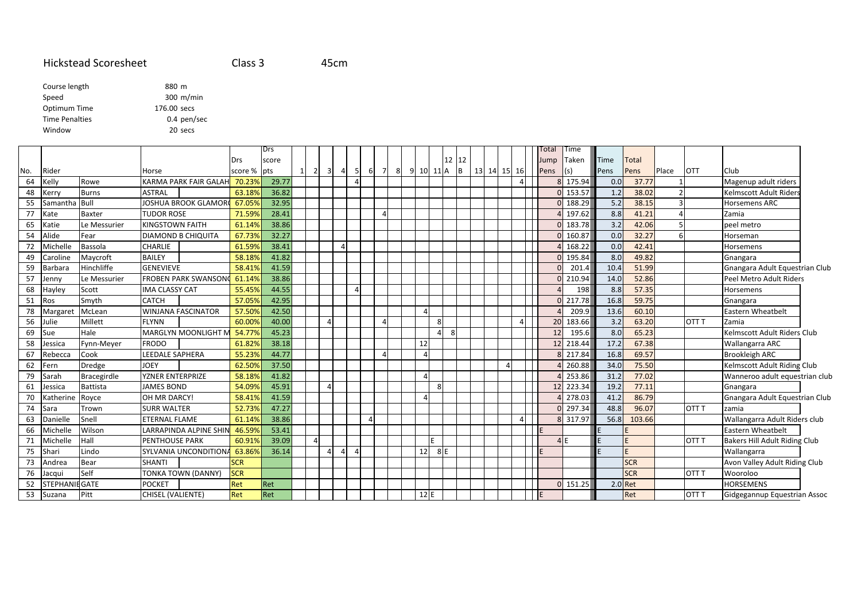#### Hickstead Scoresheet Class 345cm

| Course length         | 880 m       |
|-----------------------|-------------|
| Speed                 | $300$ m/min |
| Optimum Time          | 176.00 secs |
| <b>Time Penalties</b> | 0.4 pen/sec |
| Window                | 20 secs     |
|                       |             |

|     |                       |                    |                         |                             |            | Drs   |                                  |                         |   |   |   |                |   |         |          |          |          |    |          | Total | Time       |           |              |              |                  |                                      |
|-----|-----------------------|--------------------|-------------------------|-----------------------------|------------|-------|----------------------------------|-------------------------|---|---|---|----------------|---|---------|----------|----------|----------|----|----------|-------|------------|-----------|--------------|--------------|------------------|--------------------------------------|
|     |                       |                    |                         |                             | Drs        | score |                                  |                         |   |   |   |                |   |         |          | 12<br>12 |          |    |          | Jump  | Taken      | Time      | <b>Total</b> |              |                  |                                      |
| No. | Rider                 |                    | Horse                   |                             | score %    | pts   | $\overline{2}$<br>1 <sup>1</sup> | $\overline{\mathbf{3}}$ | 4 | 5 | 6 | $\overline{7}$ | 8 | 9<br>10 | 11A      | B        | 13 14 15 | 16 |          | Pens  | (s)        | Pens      | Pens         | <b>Place</b> | <b>OTT</b>       | Club                                 |
| 64  | Kelly                 | Rowe               |                         | KARMA PARK FAIR GALAH       | 70.23%     | 29.77 |                                  |                         |   |   |   |                |   |         |          |          |          |    | $\Delta$ |       | 175.94     | 0.0       | 37.77        |              |                  | Magenup adult riders                 |
| 48  | Kerrv                 | <b>Burns</b>       | <b>ASTRAL</b>           |                             | 63.189     | 36.82 |                                  |                         |   |   |   |                |   |         |          |          |          |    |          |       | 0 153.57   | 1.2       | 38.02        |              |                  | <b>Kelmscott Adult Riders</b>        |
| 55  | Samantha              | Bull               |                         | JOSHUA BROOK GLAMOR         | 67.059     | 32.95 |                                  |                         |   |   |   |                |   |         |          |          |          |    |          |       | $0$ 188.29 | 5.2       | 38.15        |              |                  | <b>Horsemens ARC</b>                 |
| 77  | Kate                  | Baxter             | <b>TUDOR ROSE</b>       |                             | 71.599     | 28.41 |                                  |                         |   |   |   | $\overline{4}$ |   |         |          |          |          |    |          |       | 197.62     | 8.8       | 41.21        |              |                  | Zamia                                |
| 65  | Katie                 | Le Messurier       | <b>KINGSTOWN FAITH</b>  |                             | 61.14%     | 38.86 |                                  |                         |   |   |   |                |   |         |          |          |          |    |          |       | 183.78     | 3.2       | 42.06        |              |                  | peel metro                           |
| 54  | Alide                 | Fear               |                         | <b>DIAMOND B CHIQUITA</b>   | 67.73%     | 32.27 |                                  |                         |   |   |   |                |   |         |          |          |          |    |          |       | 0 160.87   | $0.0\,$   | 32.27        |              |                  | Horseman                             |
| 72  | Michelle              | <b>Bassola</b>     | <b>CHARLIE</b>          |                             | 61.59%     | 38.41 |                                  |                         |   |   |   |                |   |         |          |          |          |    |          |       | 168.22     | 0.0       | 42.41        |              |                  | Horsemens                            |
| 49  | Caroline              | Maycroft           | <b>BAILEY</b>           |                             | 58.189     | 41.82 |                                  |                         |   |   |   |                |   |         |          |          |          |    |          |       | 0 195.84   | 8.0       | 49.82        |              |                  | Gnangara                             |
| 59  | Barbara               | Hinchliffe         | <b>GENEVIEVE</b>        |                             | 58.41%     | 41.59 |                                  |                         |   |   |   |                |   |         |          |          |          |    |          |       | 201.4      | 10.4      | 51.99        |              |                  | Gnangara Adult Equestrian Club       |
| 57  | Jenny                 | Le Messurier       |                         | <b>FROBEN PARK SWANSON</b>  | 61.149     | 38.86 |                                  |                         |   |   |   |                |   |         |          |          |          |    |          |       | 210.94     | 14.0      | 52.86        |              |                  | Peel Metro Adult Riders              |
| 68  | Hayley                | Scott              | <b>IMA CLASSY CAT</b>   |                             | 55.45%     | 44.55 |                                  |                         |   | Δ |   |                |   |         |          |          |          |    |          |       | 198        | 8.8       | 57.35        |              |                  | Horsemens                            |
| 51  | Ros                   | Smyth              | <b>CATCH</b>            |                             | 57.05%     | 42.95 |                                  |                         |   |   |   |                |   |         |          |          |          |    |          |       | 217.78     | 16.8      | 59.75        |              |                  | Gnangara                             |
| 78  | Margaret              | McLean             |                         | <b>WINJANA FASCINATOR</b>   | 57.50%     | 42.50 |                                  |                         |   |   |   |                |   |         |          |          |          |    |          |       | 209.9      | 13.6      | 60.10        |              |                  | Eastern Wheatbelt                    |
| 56  | Julie                 | Millett            | <b>FLYNN</b>            |                             | 60.009     | 40.00 |                                  |                         |   |   |   | $\Delta$       |   |         | 8        |          |          |    | 4        | 20    | 183.66     | 3.2       | 63.20        |              | OTT <sub>T</sub> | Zamia                                |
| 69  | Sue                   | Hale               |                         | <b>MARGLYN MOONLIGHT N</b>  | 54.77%     | 45.23 |                                  |                         |   |   |   |                |   |         | $\Delta$ |          |          |    |          | 12    | 195.6      | 8.0       | 65.23        |              |                  | Kelmscott Adult Riders Club          |
| 58  | Jessica               | Fynn-Meyer         | <b>FRODO</b>            |                             | 61.829     | 38.18 |                                  |                         |   |   |   |                |   | 12      |          |          |          |    |          | 12    | 218.44     | 17.2      | 67.38        |              |                  | Wallangarra ARC                      |
| 67  | Rebecca               | Cook               | LEEDALE SAPHERA         |                             | 55.239     | 44.77 |                                  |                         |   |   |   |                |   |         |          |          |          |    |          |       | 8 217.84   | 16.8      | 69.57        |              |                  | <b>Brookleigh ARC</b>                |
| 62  | -ern                  | Dredge             | <b>JOEY</b>             |                             | 62.50%     | 37.50 |                                  |                         |   |   |   |                |   |         |          |          |          |    |          |       | 260.88     | 34.0      | 75.50        |              |                  | Kelmscott Adult Riding Club          |
| 79  | Sarah                 | <b>Bracegirdle</b> | <b>YZNER ENTERPRIZE</b> |                             | 58.189     | 41.82 |                                  |                         |   |   |   |                |   |         |          |          |          |    |          |       | 253.86     | 31.2      | 77.02        |              |                  | Wanneroo adult equestrian club       |
| 61  | Jessica               | <b>Battista</b>    | <b>JAMES BOND</b>       |                             | 54.09%     | 45.91 |                                  | Δ                       |   |   |   |                |   |         | 8        |          |          |    |          | 12    | 223.34     | 19.2      | 77.11        |              |                  | Gnangara                             |
| 70  | Katherine             | Royce              | OH MR DARCY!            |                             | 58.41%     | 41.59 |                                  |                         |   |   |   |                |   |         |          |          |          |    |          |       | 278.03     | 41.2      | 86.79        |              |                  | Gnangara Adult Equestrian Club       |
| 74  | Sara                  | Trown              | <b>SURR WALTER</b>      |                             | 52.73%     | 47.27 |                                  |                         |   |   |   |                |   |         |          |          |          |    |          |       | 0 297.34   | 48.8      | 96.07        |              | OTT <sub>T</sub> | zamia                                |
| 63  | Danielle              | Snell              | <b>ETERNAL FLAME</b>    |                             | 61.14%     | 38.86 |                                  |                         |   |   | Δ |                |   |         |          |          |          |    | 4        |       | 8 317.97   | 56.8      | 103.66       |              |                  | Wallangarra Adult Riders club        |
| 66  | Michelle              | Wilson             |                         | LARRAPINDA ALPINE SHIN      | 46.599     | 53.41 |                                  |                         |   |   |   |                |   |         |          |          |          |    |          |       |            |           |              |              |                  | Eastern Wheatbelt                    |
| 71  | Michelle              | Hall               | <b>PENTHOUSE PARK</b>   |                             | 60.91%     | 39.09 | $\overline{4}$                   |                         |   |   |   |                |   |         |          |          |          |    |          |       | 4E         |           |              |              | OTT <sub>T</sub> | <b>Bakers Hill Adult Riding Club</b> |
| 75  | Shari                 | Lindo              |                         | <b>SYLVANIA UNCONDITION</b> | 63.869     | 36.14 |                                  |                         |   |   |   |                |   | 12      | 8E       |          |          |    |          |       |            |           | F.           |              |                  | Wallangarra                          |
| 73  | Andrea                | Bear               | <b>SHANTI</b>           |                             | <b>SCR</b> |       |                                  |                         |   |   |   |                |   |         |          |          |          |    |          |       |            |           | <b>SCR</b>   |              |                  | Avon Valley Adult Riding Club        |
| 76  | Jacqui                | Self               |                         | <b>TONKA TOWN (DANNY)</b>   | <b>SCR</b> |       |                                  |                         |   |   |   |                |   |         |          |          |          |    |          |       |            |           | <b>SCR</b>   |              | OTT <sub>T</sub> | Wooroloo                             |
| 52  | <b>STEPHANIE GATE</b> |                    | <b>POCKET</b>           |                             | Ret        | Ret   |                                  |                         |   |   |   |                |   |         |          |          |          |    |          |       | 0 151.25   | $2.0$ Ret |              |              |                  | <b>HORSEMENS</b>                     |
| 53  | Suzana                | Pitt               | CHISEL (VALIENTE)       |                             | Ret        | Ret   |                                  |                         |   |   |   |                |   | 12E     |          |          |          |    |          |       |            |           | Ret          |              | OTT <sub>T</sub> | Gidgegannup Equestrian Assoc         |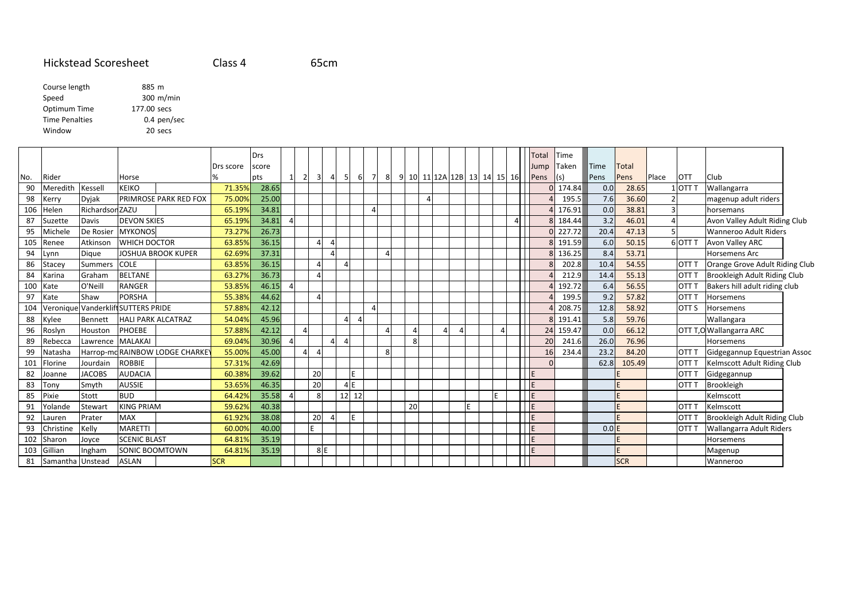#### Hickstead Scoresheet Class 465cm

| Course length         | 885 m       |
|-----------------------|-------------|
| Speed                 | 300 m/min   |
| Optimum Time          | 177.00 secs |
| <b>Time Penalties</b> | 0.4 pen/sec |
| Window                | 20 secs     |
|                       |             |

|     |                   |                  |                                     |            | Drs   |          |                |                                           |      |          |   |    |    |          |   |                             | Total | <b>Time</b> |             |            |              |                  |                                 |  |
|-----|-------------------|------------------|-------------------------------------|------------|-------|----------|----------------|-------------------------------------------|------|----------|---|----|----|----------|---|-----------------------------|-------|-------------|-------------|------------|--------------|------------------|---------------------------------|--|
|     |                   |                  |                                     | Drs score  | score |          |                |                                           |      |          |   |    |    |          |   |                             | lump  | Taken       | <b>Time</b> | Total      |              |                  |                                 |  |
| No. | Rider             |                  | Horse                               |            | pts   |          | $\overline{2}$ | $\overline{\mathbf{3}}$<br>$\overline{4}$ | - 51 | 6        | 7 | -8 |    |          |   | 9 10 11 12A 12B 13 14 15 16 | Pens  | $\vert$ (s) | Pens        | Pens       | <b>Place</b> | <b>OTT</b>       | Club                            |  |
| 90  | Meredith          | Kessel           | <b>KEIKO</b>                        | 71.35%     | 28.65 |          |                |                                           |      |          |   |    |    |          |   |                             |       | 0 174.84    | 0.0         | 28.65      |              | 1 OTT T          | Wallangarra                     |  |
| 98  | Kerry             | <b>Dyjak</b>     | <b>PRIMROSE PARK RED FOX</b>        | 75.00%     | 25.00 |          |                |                                           |      |          |   |    |    | $\Delta$ |   |                             |       | 195.5       | 7.6         | 36.60      |              |                  | magenup adult riders            |  |
| 106 | Helen             | Richardson ZAZU  |                                     | 65.19%     | 34.81 |          |                |                                           |      |          | Δ |    |    |          |   |                             |       | 176.91      | 0.0         | 38.81      |              | $\overline{3}$   | horsemans                       |  |
| 87  | Suzette           | Davis            | <b>DEVON SKIES</b>                  | 65.19%     | 34.81 |          |                |                                           |      |          |   |    |    |          |   | 4 <sup>1</sup>              |       | 8 184.44    | 3.2         | 46.01      |              | $\overline{4}$   | Avon Valley Adult Riding Club   |  |
| 95  | Michele           | De Rosier        | <b>MYKONOS</b>                      | 73.27%     | 26.73 |          |                |                                           |      |          |   |    |    |          |   |                             |       | 0 227.72    | 20.4        | 47.13      |              | 5 <sub>l</sub>   | <b>Wanneroo Adult Riders</b>    |  |
| 105 | Renee             | Atkinson         | <b>WHICH DOCTOR</b>                 | 63.85%     | 36.15 |          |                | $\overline{a}$<br>$\overline{a}$          |      |          |   |    |    |          |   |                             |       | 8 191.59    | 6.0         | 50.15      |              | 6 OTT T          | Avon Valley ARC                 |  |
| 94  | Lynn              | Digue            | <b>JOSHUA BROOK KUPER</b>           | 62.69%     | 37.31 |          |                | $\Delta$                                  |      |          |   |    |    |          |   |                             |       | 8 136.25    | 8.4         | 53.71      |              |                  | Horsemens Arc                   |  |
| 86  | Stacey            | <b>Summers</b>   | <b>COLE</b>                         | 63.85%     | 36.15 |          |                | $\Delta$                                  |      |          |   |    |    |          |   |                             |       | 202.8       | 10.4        | 54.55      |              | OTT <sub>T</sub> | Orange Grove Adult Riding Club  |  |
| 84  | Karina            | Graham           | <b>BELTANE</b>                      | 63.27%     | 36.73 |          |                | $\Delta$                                  |      |          |   |    |    |          |   |                             |       | 212.9       | 14.4        | 55.13      |              | OTT <sub>T</sub> | Brookleigh Adult Riding Club    |  |
| 100 | Kate              | O'Neill          | <b>RANGER</b>                       | 53.85%     | 46.15 | $\Delta$ |                |                                           |      |          |   |    |    |          |   |                             |       | 192.72      | 6.4         | 56.55      |              | OTT T            | Bakers hill adult riding club   |  |
| 97  | Kate              | Shaw             | <b>PORSHA</b>                       | 55.38%     | 44.62 |          |                | $\overline{a}$                            |      |          |   |    |    |          |   |                             |       | 199.5       | 9.2         | 57.82      |              | OTT <sub>T</sub> | Horsemens                       |  |
| 104 |                   |                  | Veronique Vanderklift SUTTERS PRIDE | 57.88%     | 42.12 |          |                |                                           |      |          |   |    |    |          |   |                             |       | 208.75      | 12.8        | 58.92      |              | <b>OTTS</b>      | Horsemens                       |  |
| 88  | Kylee             | Bennett          | <b>HALI PARK ALCATRAZ</b>           | 54.04%     | 45.96 |          |                |                                           |      | $\Delta$ |   |    |    |          |   |                             |       | 8 191.41    | 5.8         | 59.76      |              |                  | Wallangara                      |  |
| 96  | Roslyn            | Houston          | PHOEBE                              | 57.88%     | 42.12 |          | 4              |                                           |      |          |   |    |    |          |   |                             |       | 24 159.47   | 0.0         | 66.12      |              |                  | <b>OTT T, O Wallangarra ARC</b> |  |
| 89  | Rebecca           | Lawrence MALAKAI |                                     | 69.04%     | 30.96 |          |                | $\Lambda$                                 |      |          |   |    | 8  |          |   |                             |       | 20<br>241.6 | 26.0        | 76.96      |              |                  | Horsemens                       |  |
| 99  | Natasha           |                  | Harrop-md RAINBOW LODGE CHARKE      | 55.00%     | 45.00 |          | 4 <sup>1</sup> | $\overline{4}$                            |      |          |   | 8  |    |          |   |                             |       | 234.4<br>16 | 23.2        | 84.20      |              | OTT <sub>T</sub> | Gidgegannup Equestrian Assoc    |  |
| 101 | -lorine           | Jourdain         | <b>ROBBIE</b>                       | 57.31%     | 42.69 |          |                |                                           |      |          |   |    |    |          |   |                             |       | $\Omega$    | 62.8        | 105.49     |              | <b>OTT T</b>     | Kelmscott Adult Riding Club     |  |
| 82  | Joanne            | <b>JACOBS</b>    | <b>AUDACIA</b>                      | 60.38%     | 39.62 |          | 20             |                                           |      | E.       |   |    |    |          |   |                             |       |             |             |            |              | <b>OTT T</b>     | Gidgegannup                     |  |
| 83  | Tony              | Smyth            | <b>AUSSIE</b>                       | 53.65%     | 46.35 |          | 20             |                                           |      | 4E       |   |    |    |          |   |                             |       |             |             |            |              | <b>OTT T</b>     | Brookleigh                      |  |
| 85  | <sup>p</sup> ixie | Stott            | <b>BUD</b>                          | 64.42%     | 35.58 |          |                | 8                                         |      | 12 12    |   |    |    |          |   |                             | F     |             |             |            |              |                  | Kelmscott                       |  |
|     | Yolande           | Stewart          | <b>KING PRIAM</b>                   | 59.62%     | 40.38 |          |                |                                           |      |          |   |    | 20 |          | E |                             |       |             |             |            |              | <b>OTT T</b>     | Kelmscott                       |  |
| 92  | Lauren            | Prater           | <b>MAX</b>                          | 61.92%     | 38.08 |          |                | 20<br>$\overline{a}$                      |      |          |   |    |    |          |   |                             |       |             |             |            |              | OTT T            | Brookleigh Adult Riding Club    |  |
| 93  | Christine         | Kelly            | <b>MARETTI</b>                      | 60.00%     | 40.00 |          | E              |                                           |      |          |   |    |    |          |   |                             |       |             | 0.0 E       |            |              | <b>OTT T</b>     | Wallangarra Adult Riders        |  |
| 102 | Sharon            | Joyce            | <b>SCENIC BLAST</b>                 | 64.81%     | 35.19 |          |                |                                           |      |          |   |    |    |          |   |                             | F     |             |             |            |              |                  | Horsemens                       |  |
| 103 | Gillian           | Ingham           | <b>SONIC BOOMTOWN</b>               | 64.81%     | 35.19 |          |                | 8 E                                       |      |          |   |    |    |          |   |                             | F     |             |             |            |              |                  | Magenup                         |  |
| 81  | Samantha Unstead  |                  | <b>ASLAN</b>                        | <b>SCR</b> |       |          |                |                                           |      |          |   |    |    |          |   |                             |       |             |             | <b>SCR</b> |              |                  | Wanneroo                        |  |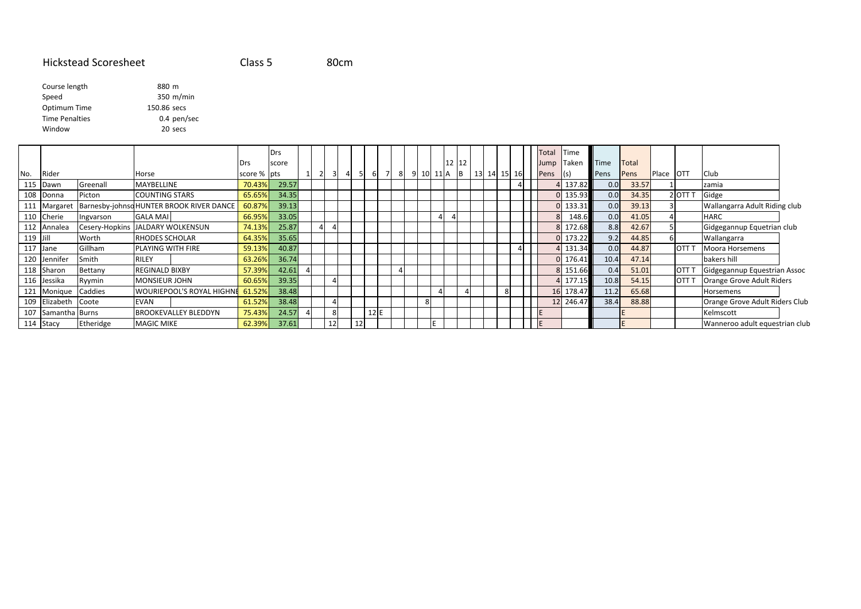#### Hickstead Scoresheet Class 580cm

| Course length         | 880 m       |
|-----------------------|-------------|
| Speed                 | 350 m/min   |
| Optimum Time          | 150.86 secs |
| <b>Time Penalties</b> | 0.4 pen/sec |
| Window                | 20 secs     |
|                       |             |

|          |                    |           |                                          |             | Drs   |    |    |     |   |           |       |             |  | Total | Time   |      |              |       |              |                                |
|----------|--------------------|-----------|------------------------------------------|-------------|-------|----|----|-----|---|-----------|-------|-------------|--|-------|--------|------|--------------|-------|--------------|--------------------------------|
|          |                    |           |                                          | Drs         | score |    |    |     |   |           | 12 12 |             |  | Jump  | Taken  | Time | <b>Total</b> |       |              |                                |
| No.      | Rider              |           | Horse                                    | score % pts |       |    |    |     | 8 | 9 10 11 A | IB.   | 13 14 15 16 |  | Pens  |        | Pens | Pens         | Place | <b>IOTT</b>  | Club                           |
| 115      | Dawn               | Greenall  | MAYBELLINE                               | 70.43%      | 29.57 |    |    |     |   |           |       |             |  |       | 137.82 | 0.0  | 33.57        |       |              | zamia                          |
|          | 108 Donna          | Picton    | <b>COUNTING STARS</b>                    | 65.65%      | 34.35 |    |    |     |   |           |       |             |  |       | 135.93 | 0.0  | 34.35        |       | 2 OTT T      | Gidge                          |
|          | 111 Margaret       |           | Barnesby-johnsd HUNTER BROOK RIVER DANCE | 60.87%      | 39.13 |    |    |     |   |           |       |             |  |       | 133.31 | 0.0  | 39.13        |       |              | Wallangarra Adult Riding club  |
|          | 110 Cherie         | Ingvarson | <b>GALA MAI</b>                          | 66.95%      | 33.05 |    |    |     |   |           |       |             |  |       | 148.6  | 0.0  | 41.05        |       |              | <b>HARC</b>                    |
|          | 112 Annalea        |           | Cesery-Hopkins JALDARY WOLKENSUN         | 74.13%      | 25.87 |    |    |     |   |           |       |             |  |       | 172.68 | 8.8  | 42.67        |       |              | Gidgegannup Equetrian club     |
| 119 Jill |                    | Worth     | <b>RHODES SCHOLAR</b>                    | 64.35%      | 35.65 |    |    |     |   |           |       |             |  |       | 173.22 | 9.2  | 44.85        |       |              | Wallangarra                    |
|          | 117 Jane           | Gillham   | PLAYING WITH FIRE                        | 59.13%      | 40.87 |    |    |     |   |           |       |             |  |       | 131.34 | 0.0  | 44.87        |       | IOTT         | Moora Horsemens                |
| 120 l    | Jennifer           | Smith     | <b>RILEY</b>                             | 63.26%      | 36.74 |    |    |     |   |           |       |             |  |       | 176.41 | 10.4 | 47.14        |       |              | bakers hill                    |
|          | 118 Sharon         | Bettany   | <b>REGINALD BIXBY</b>                    | 57.39%      | 42.61 |    |    |     |   |           |       |             |  |       | 151.66 | 0.4  | 51.01        |       | <b>OTT</b>   | Gidgegannup Equestrian Assoc   |
|          | 116 Jessika        | Ryymin    | <b>MONSIEUR JOHN</b>                     | 60.65%      | 39.35 |    |    |     |   |           |       |             |  |       | 177.15 | 10.8 | 54.15        |       | <b>OTT T</b> | Orange Grove Adult Riders      |
| 121      | Monique            | Caddies   | <b>WOURIEPOOL'S ROYAL HIGHNE</b>         | 61.52%      | 38.48 |    |    |     |   |           |       |             |  |       | 178.47 |      | 65.68        |       |              | Horsemens                      |
| 109      | Elizabeth          | Coote     | <b>EVAN</b>                              | 61.52%      | 38.48 |    |    |     |   | 8         |       |             |  |       | 246.47 | 38.4 | 88.88        |       |              | Orange Grove Adult Riders Club |
|          | 107 Samantha Burns |           | <b>BROOKEVALLEY BLEDDYN</b>              | 75.43%      | 24.57 | 8  |    | 12E |   |           |       |             |  | ΙE    |        |      |              |       |              | Kelmscott                      |
|          | 114 Stacy          | Etheridge | <b>MAGIC MIKE</b>                        | 62.39%      | 37.61 | 12 | 12 |     |   |           |       |             |  |       |        |      |              |       |              | Wanneroo adult equestrian club |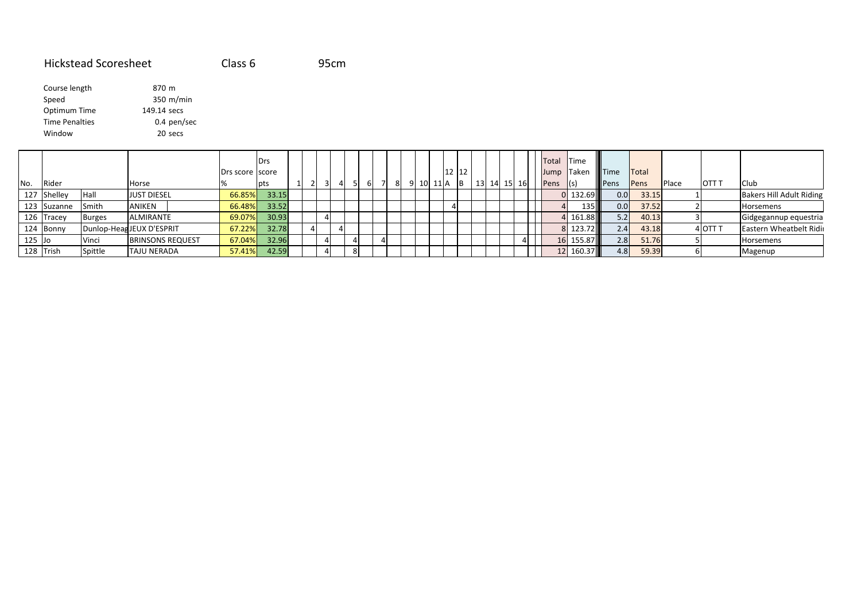### Hickstead Scoresheet Class 695cm

| Course length         | 870 m       |
|-----------------------|-------------|
| Speed                 | 350 m/min   |
| Optimum Time          | 149.14 secs |
| <b>Time Penalties</b> | 0.4 pen/sec |
| Window                | 20 secs     |
|                       |             |

|          |                |               |                          | Drs score score | l Drs |                |  |    |    |      |      | 12 12 |          |             |  | Total Time<br>Jump Taken |                  | <b>Time</b> | <b>ITotal</b> |       |         |                          |
|----------|----------------|---------------|--------------------------|-----------------|-------|----------------|--|----|----|------|------|-------|----------|-------------|--|--------------------------|------------------|-------------|---------------|-------|---------|--------------------------|
| No.      | Rider          |               | Horse                    |                 | l pts | $\overline{3}$ |  | 61 | -8 | 10 I | 11 A |       | <b>B</b> | 13 14 15 16 |  | Pens                     | $\vert$ (s)      | <b>Pens</b> | Pens          | Place | OTT T   | Club                     |
| 127      | <b>Shelley</b> | Hall          | <b>JUST DIESEL</b>       | 66.85%          | 33.15 |                |  |    |    |      |      |       |          |             |  |                          | 132.69 III       | 0.0         | 33.15         |       |         | Bakers Hill Adult Riding |
|          | 123 Suzanne    | Smith         | <b>ANIKEN</b>            | 66.48%          | 33.52 |                |  |    |    |      |      |       |          |             |  |                          | 135 l            | 0.0         | 37.52         |       |         | Horsemens                |
|          | 126 Tracey     | <b>Burges</b> | <b>ALMIRANTE</b>         | 69.07%          | 30.93 |                |  |    |    |      |      |       |          |             |  |                          | 161.88III        | 5.2         | 40.13         |       |         | Gidgegannup equestria    |
|          | 124 Bonny      |               | Dunlop-HeagJEUX D'ESPRIT | 67.22%          | 32.78 | $\Delta$       |  |    |    |      |      |       |          |             |  |                          | 123.72 <b>11</b> | 2.4         | 43.18         |       | 4 OTT T | Eastern Wheatbelt Ridir  |
| $125$ Jo |                | Vinci         | <b>BRINSONS REQUEST</b>  | 67.04%          | 32.96 |                |  |    |    |      |      |       |          |             |  |                          | 155.87           | 2.81        | 51.76         |       |         | Horsemens                |
|          | 128 Trish      | Spittle       | <b>TAJU NERADA</b>       | 57.41%          | 42.59 |                |  |    |    |      |      |       |          |             |  |                          | 160.37           | 4.8         | 59.39         |       |         | Magenup                  |